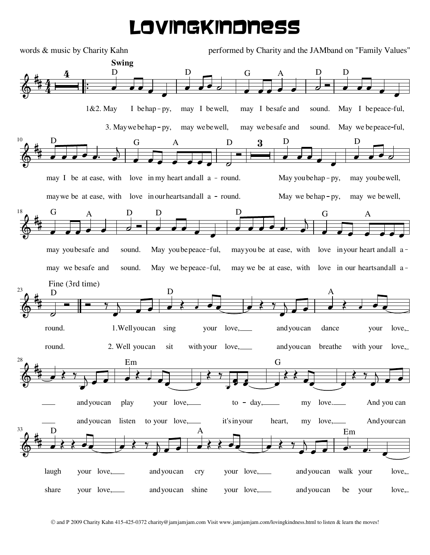## Lovingkindness